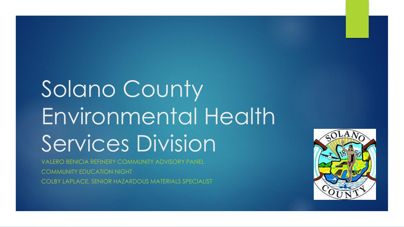# Solano County Environmental Health Services Division

VALERO BENICIA REFINERY COMMUNITY ADVISORY PANEL COMMUNITY EDUCATION NIGHT COLBY LAPLACE, SENIOR HAZARDOUS MATERIALS SPECIALIST

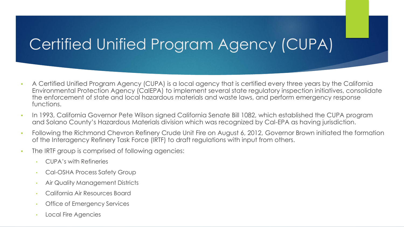# Certified Unified Program Agency (CUPA)

- A Certified Unified Program Agency (CUPA) is a local agency that is certified every three years by the California Environmental Protection Agency (CalEPA) to implement several state regulatory inspection initiatives, consolidate the enforcement of state and local hazardous materials and waste laws, and perform emergency response functions.
- In 1993, California Governor Pete Wilson signed California Senate Bill 1082, which established the CUPA program and Solano County's Hazardous Materials division which was recognized by Cal-EPA as having jurisdiction.
- **FILL** Following the Richmond Chevron Refinery Crude Unit Fire on August 6, 2012, Governor Brown initiated the formation of the Interagency Refinery Task Force (IRTF) to draft regulations with input from others.
- The IRTF group is comprised of following agencies:
	- CUPA's with Refineries
	- Cal-OSHA Process Safety Group
	- Air Quality Management Districts
	- California Air Resources Board
	- **Office of Emergency Services**
	- Local Fire Agencies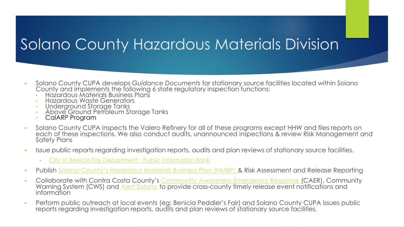## Solano County Hazardous Materials Division

- Solano County CUPA develops *Guidance Documents* for stationary source facilities located within Solano County and implements the following 6 state regulatory inspection functions:
	- Hazardous Materials Business Plans
	- Hazardous Waste Generators
	- Underground Storage Tanks
	- Above Ground Petroleum Storage Tanks
	- CalARP Program
- Solano County CUPA inspects the Valero Refinery for all of these programs except HHW and files reports on each of these inspections. We also conduct audits, unannounced inspections & review Risk Management and Safety Plans
- Issue public reports regarding investigation reports, audits and plan reviews of stationary source facilities.
	- [City of Benicia Fire Department -](https://www.ci.benicia.ca.us/publicinfobank) Public Information Bank
- Publish [Solano County's Hazardous Materials Business Plan \(HMBP\)](https://www.solanocounty.com/depts/rm/environmental_health/hazmat/default.asp) & Risk Assessment and Release Reporting
- Collaborate with Contra Costa County's [Community Awareness Emergency Response \(](https://cococaer.org/)CAER), Community Warning System (CWS) and <u>Alert Solano</u> to provide cross-county timely release event notifications and information
- Perform public outreach at local events (eg: Benicia Peddler's Fair) and Solano County CUPA issues public reports regarding investigation reports, audits and plan reviews of stationary source facilities.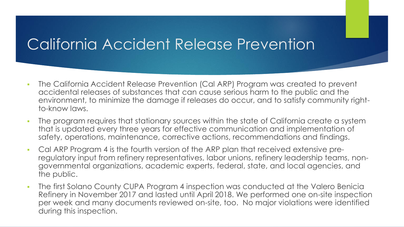## California Accident Release Prevention

- The California Accident Release Prevention (Cal ARP) Program was created to prevent accidental releases of substances that can cause serious harm to the public and the environment, to minimize the damage if releases do occur, and to satisfy community rightto-know laws.
- The program requires that stationary sources within the state of California create a system that is updated every three years for effective communication and implementation of safety, operations, maintenance, corrective actions, recommendations and findings.
- Cal ARP Program 4 is the fourth version of the ARP plan that received extensive preregulatory input from refinery representatives, labor unions, refinery leadership teams, nongovernmental organizations, academic experts, federal, state, and local agencies, and the public.
- The first Solano County CUPA Program 4 inspection was conducted at the Valero Benicia Refinery in November 2017 and lasted until April 2018. We performed one on-site inspection per week and many documents reviewed on-site, too. No major violations were identified during this inspection.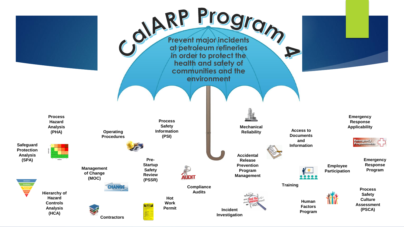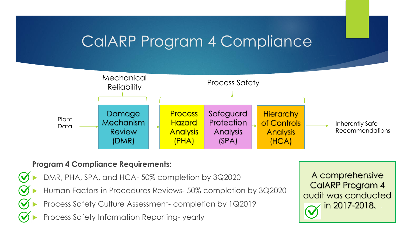#### CalARP Program 4 Compliance



#### **Program 4 Compliance Requirements:**



A comprehensive CalARP Program 4 audit was conducted in 2017-2018.